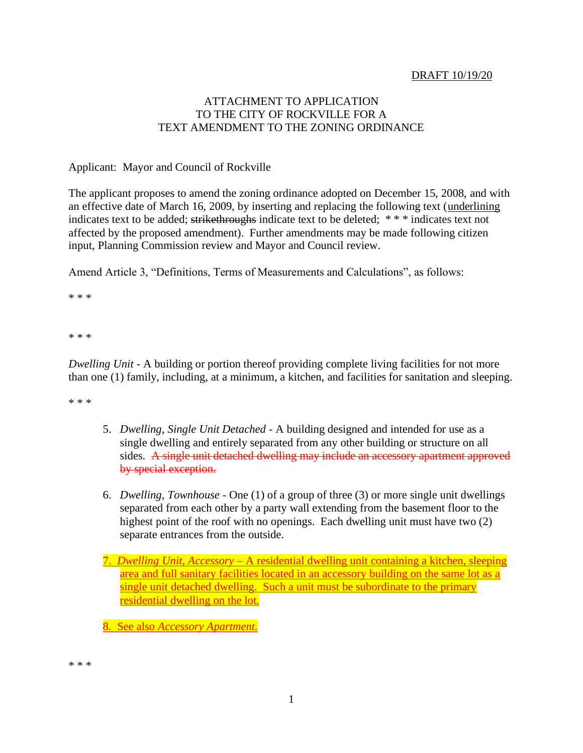## DRAFT 10/19/20

## ATTACHMENT TO APPLICATION TO THE CITY OF ROCKVILLE FOR A TEXT AMENDMENT TO THE ZONING ORDINANCE

### Applicant: Mayor and Council of Rockville

The applicant proposes to amend the zoning ordinance adopted on December 15, 2008, and with an effective date of March 16, 2009, by inserting and replacing the following text (underlining indicates text to be added; strikethroughs indicate text to be deleted; \* \* \* indicates text not affected by the proposed amendment). Further amendments may be made following citizen input, Planning Commission review and Mayor and Council review.

Amend Article 3, "Definitions, Terms of Measurements and Calculations", as follows:

\* \* \*

\* \* \*

*Dwelling Unit -* A building or portion thereof providing complete living facilities for not more than one (1) family, including, at a minimum, a kitchen, and facilities for sanitation and sleeping.

\* \* \*

- 5. *Dwelling, Single Unit Detached* A building designed and intended for use as a single dwelling and entirely separated from any other building or structure on all sides. A single unit detached dwelling may include an accessory apartment approved by special exception.
- 6. *Dwelling, Townhouse* One (1) of a group of three (3) or more single unit dwellings separated from each other by a party wall extending from the basement floor to the highest point of the roof with no openings. Each dwelling unit must have two (2) separate entrances from the outside.
- 7. *Dwelling Unit, Accessory*  A residential dwelling unit containing a kitchen, sleeping area and full sanitary facilities located in an accessory building on the same lot as a single unit detached dwelling. Such a unit must be subordinate to the primary residential dwelling on the lot.

8. See also *Accessory Apartment.*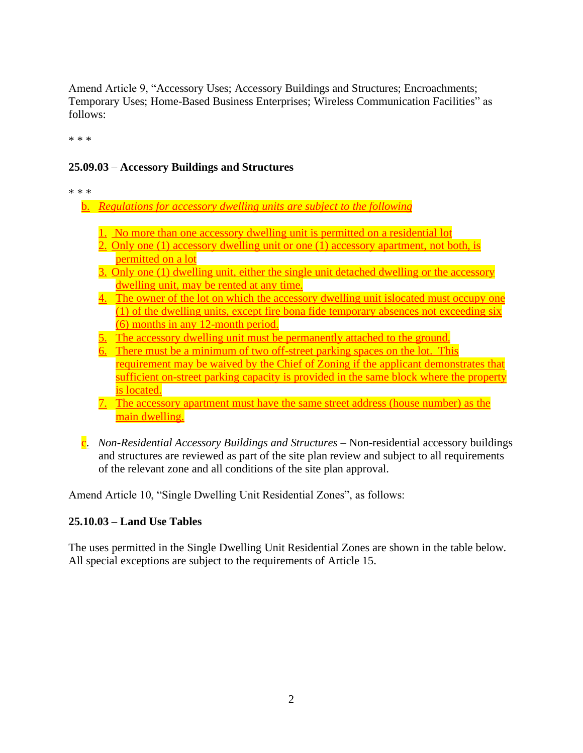Amend Article 9, "Accessory Uses; Accessory Buildings and Structures; Encroachments; Temporary Uses; Home-Based Business Enterprises; Wireless Communication Facilities" as follows:

\* \* \*

# **25.09.03** – **Accessory Buildings and Structures**

\* \* \*

- b. *Regulations for accessory dwelling units are subject to the following*
	- 1. No more than one accessory dwelling unit is permitted on a residential lot
	- 2. Only one (1) accessory dwelling unit or one (1) accessory apartment, not both, is permitted on a lot
	- 3. Only one (1) dwelling unit, either the single unit detached dwelling or the accessory dwelling unit, may be rented at any time.
	- 4. The owner of the lot on which the accessory dwelling unit islocated must occupy one (1) of the dwelling units, except fire bona fide temporary absences not exceeding six (6) months in any 12-month period.
	- 5. The accessory dwelling unit must be permanently attached to the ground.
	- There must be a minimum of two off-street parking spaces on the lot. This requirement may be waived by the Chief of Zoning if the applicant demonstrates that sufficient on-street parking capacity is provided in the same block where the property is located.
	- 7. The accessory apartment must have the same street address (house number) as the main dwelling.
- c. *Non-Residential Accessory Buildings and Structures –* Non-residential accessory buildings and structures are reviewed as part of the site plan review and subject to all requirements of the relevant zone and all conditions of the site plan approval.

Amend Article 10, "Single Dwelling Unit Residential Zones", as follows:

# **25.10.03 – Land Use Tables**

The uses permitted in the Single Dwelling Unit Residential Zones are shown in the table below. All special exceptions are subject to the requirements of Article 15.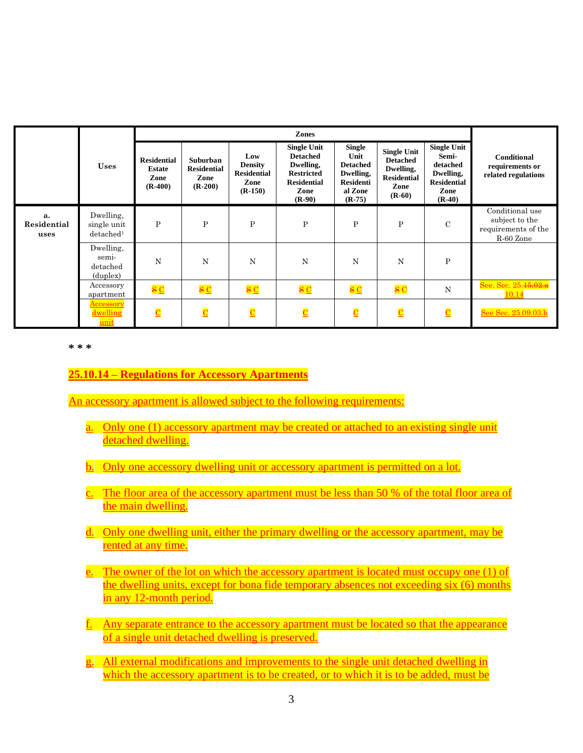|                           | <b>Uses</b>                                       | Zones                                                    |                                                     |                                                                  |                                                                                                                   |                                                                                                  |                                                                                              |                                                                                                |                                                                       |
|---------------------------|---------------------------------------------------|----------------------------------------------------------|-----------------------------------------------------|------------------------------------------------------------------|-------------------------------------------------------------------------------------------------------------------|--------------------------------------------------------------------------------------------------|----------------------------------------------------------------------------------------------|------------------------------------------------------------------------------------------------|-----------------------------------------------------------------------|
|                           |                                                   | <b>Residential</b><br><b>Estate</b><br>Zone<br>$(R-400)$ | Suburban<br><b>Residential</b><br>Zone<br>$(R-200)$ | Low<br><b>Density</b><br><b>Residential</b><br>Zone<br>$(R-150)$ | <b>Single Unit</b><br><b>Detached</b><br>Dwelling,<br><b>Restricted</b><br><b>Residential</b><br>Zone<br>$(R-90)$ | <b>Single</b><br>Unit<br><b>Detached</b><br>Dwelling,<br><b>Residenti</b><br>al Zone<br>$(R-75)$ | <b>Single Unit</b><br><b>Detached</b><br>Dwelling,<br><b>Residential</b><br>Zone<br>$(R-60)$ | <b>Single Unit</b><br>Semi-<br>detached<br>Dwelling,<br><b>Residential</b><br>Zone<br>$(R-40)$ | <b>Conditional</b><br>requirements or<br>related regulations          |
| а.<br>Residential<br>uses | Dwelling.<br>single unit<br>detached <sup>1</sup> | P                                                        | $\mathbf P$                                         | $\mathbf{P}$                                                     | $\mathbf{P}$                                                                                                      | $\mathbf{P}$                                                                                     | $\mathbf P$                                                                                  | $\mathbf C$                                                                                    | Conditional use<br>subject to the<br>requirements of the<br>R-60 Zone |
|                           | Dwelling.<br>semi-<br>detached<br>(duplex)        | N                                                        | N                                                   | N                                                                | N                                                                                                                 | N                                                                                                | N                                                                                            | P                                                                                              |                                                                       |
|                           | Accessory<br>apartment                            | $\frac{S}{C}$                                            | $\frac{1}{2}$ $\frac{1}{2}$                         | $\frac{1}{2}$ $\frac{1}{2}$                                      | $\frac{S}{C}$                                                                                                     | $\frac{1}{2}$ $\frac{1}{2}$                                                                      | $\overline{\mathbf{s}}$ C                                                                    | N                                                                                              | See. Sec. 25.15.02.a<br>10.14                                         |
|                           | <u>Accessory</u><br>dwelling<br>unit              | $\overline{\mathbf{C}}$                                  | $\overline{\mathbf{C}}$                             | $\overline{\mathbf{C}}$                                          | $\overline{\mathbf{C}}$                                                                                           | $\overline{\text{C}}$                                                                            | $\overline{\mathbf{C}}$                                                                      | $\overline{\mathbf{C}}$                                                                        | See Sec. 25.09.03.b                                                   |

**\* \* \***

## **25.10.14 – Regulations for Accessory Apartments**

An accessory apartment is allowed subject to the following requirements:

- a. Only one (1) accessory apartment may be created or attached to an existing single unit detached dwelling.
- b. Only one accessory dwelling unit or accessory apartment is permitted on a lot.
- c. The floor area of the accessory apartment must be less than 50 % of the total floor area of the main dwelling.
- d. Only one dwelling unit, either the primary dwelling or the accessory apartment, may be rented at any time.
- e. The owner of the lot on which the accessory apartment is located must occupy one (1) of the dwelling units, except for bona fide temporary absences not exceeding six (6) months in any 12-month period.
- f. Any separate entrance to the accessory apartment must be located so that the appearance of a single unit detached dwelling is preserved.
- g. All external modifications and improvements to the single unit detached dwelling in which the accessory apartment is to be created, or to which it is to be added, must be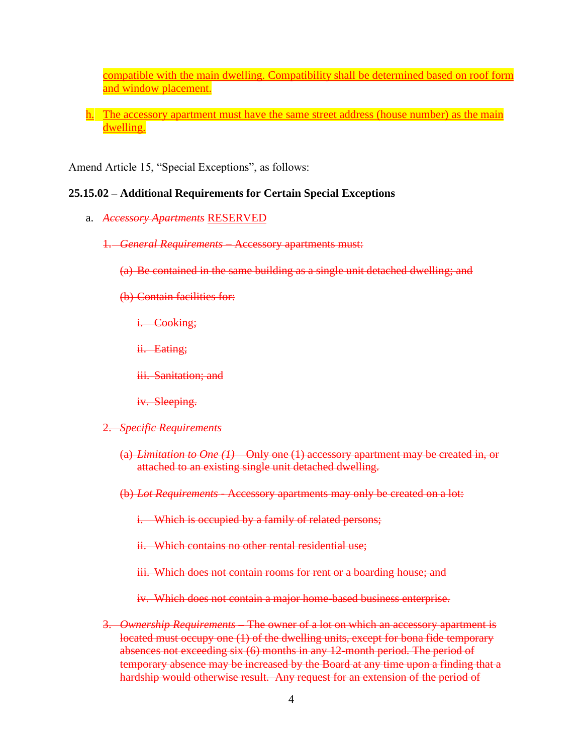compatible with the main dwelling. Compatibility shall be determined based on roof form and window placement.

h. The accessory apartment must have the same street address (house number) as the main dwelling.

Amend Article 15, "Special Exceptions", as follows:

### **25.15.02 – Additional Requirements for Certain Special Exceptions**

- a. *Accessory Apartments* RESERVED
	- 1. *General Requirements* Accessory apartments must:
		- (a) Be contained in the same building as a single unit detached dwelling; and
		- (b) Contain facilities for:
			- i. Cooking;
			- ii. Eating;
			- iii. Sanitation; and
			- iv. Sleeping.
	- 2. *Specific Requirements*
		- (a) *Limitation to One (1)* Only one (1) accessory apartment may be created in, or attached to an existing single unit detached dwelling.
		- (b) *Lot Requirements* Accessory apartments may only be created on a lot:

i. Which is occupied by a family of related persons;

ii. Which contains no other rental residential use;

iii. Which does not contain rooms for rent or a boarding house; and

iv. Which does not contain a major home-based business enterprise.

3. *Ownership Requirements* – The owner of a lot on which an accessory apartment is located must occupy one (1) of the dwelling units, except for bona fide temporary absences not exceeding six (6) months in any 12-month period. The period of temporary absence may be increased by the Board at any time upon a finding that a hardship would otherwise result. Any request for an extension of the period of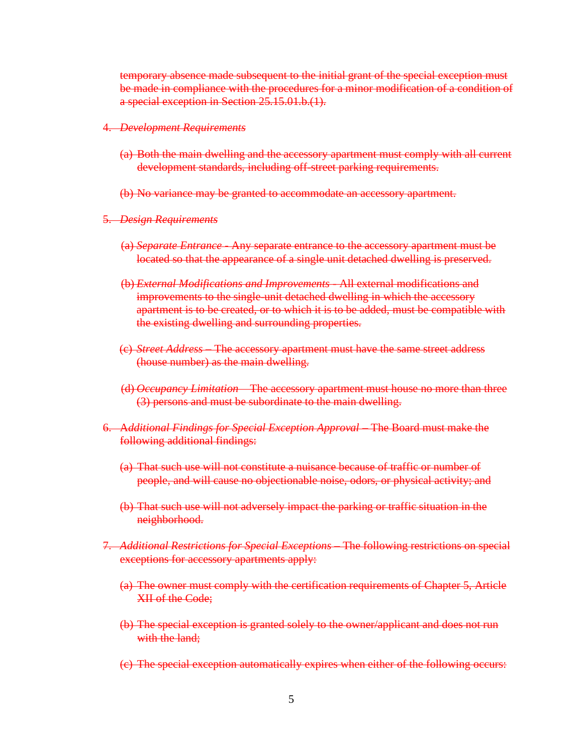temporary absence made subsequent to the initial grant of the special exception must be made in compliance with the procedures for a minor modification of a condition of a special exception in Section 25.15.01.b.(1).

#### 4. *Development Requirements*

- (a) Both the main dwelling and the accessory apartment must comply with all current development standards, including off-street parking requirements.
- (b) No variance may be granted to accommodate an accessory apartment.
- 5. *Design Requirements*
	- (a) *Separate Entrance* Any separate entrance to the accessory apartment must be located so that the appearance of a single unit detached dwelling is preserved.
	- (b) *External Modifications and Improvements* All external modifications and improvements to the single-unit detached dwelling in which the accessory apartment is to be created, or to which it is to be added, must be compatible with the existing dwelling and surrounding properties.
	- (c) *Street Address* The accessory apartment must have the same street address (house number) as the main dwelling.
	- (d) *Occupancy Limitation* The accessory apartment must house no more than three (3) persons and must be subordinate to the main dwelling.
- 6. A*dditional Findings for Special Exception Approval* The Board must make the following additional findings:
	- (a) That such use will not constitute a nuisance because of traffic or number of people, and will cause no objectionable noise, odors, or physical activity; and
	- (b) That such use will not adversely impact the parking or traffic situation in the neighborhood.
- 7. *Additional Restrictions for Special Exceptions –* The following restrictions on special exceptions for accessory apartments apply:
	- (a) The owner must comply with the certification requirements of Chapter 5, Article XII of the Code;
	- (b) The special exception is granted solely to the owner/applicant and does not run with the land;
	- (c) The special exception automatically expires when either of the following occurs: